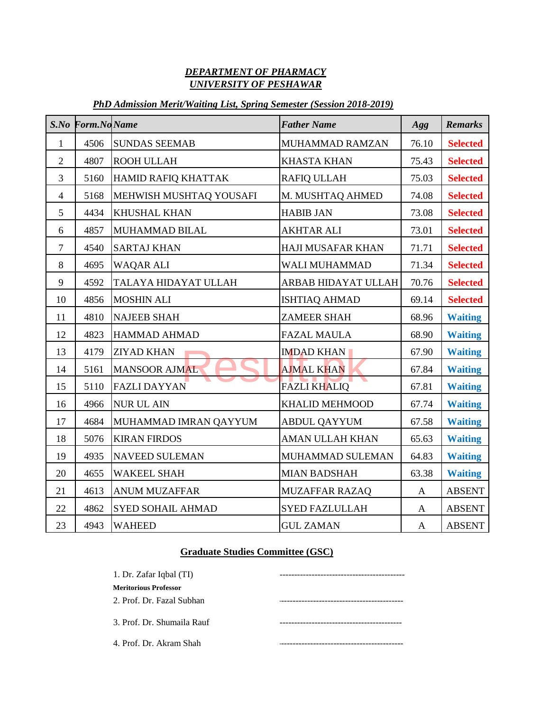## *DEPARTMENT OF PHARMACY UNIVERSITY OF PESHAWAR*

## *PhD Admission Merit/Waiting List, Spring Semester (Session 2018-2019)*

| $S$ .No        | Form.No Name |                          | <b>Father Name</b>       | <b>Agg</b>   | <b>Remarks</b>  |
|----------------|--------------|--------------------------|--------------------------|--------------|-----------------|
| 1              | 4506         | <b>SUNDAS SEEMAB</b>     | MUHAMMAD RAMZAN          | 76.10        | <b>Selected</b> |
| $\overline{2}$ | 4807         | ROOH ULLAH               | <b>KHASTA KHAN</b>       | 75.43        | <b>Selected</b> |
| $\overline{3}$ | 5160         | HAMID RAFIQ KHATTAK      | <b>RAFIQ ULLAH</b>       | 75.03        | <b>Selected</b> |
| $\overline{4}$ | 5168         | MEHWISH MUSHTAQ YOUSAFI  | M. MUSHTAQ AHMED         | 74.08        | <b>Selected</b> |
| 5              | 4434         | KHUSHAL KHAN             | <b>HABIB JAN</b>         | 73.08        | <b>Selected</b> |
| 6              | 4857         | MUHAMMAD BILAL           | <b>AKHTAR ALI</b>        | 73.01        | <b>Selected</b> |
| $\overline{7}$ | 4540         | <b>SARTAJ KHAN</b>       | <b>HAJI MUSAFAR KHAN</b> | 71.71        | <b>Selected</b> |
| $\,8\,$        | 4695         | <b>WAQAR ALI</b>         | WALI MUHAMMAD            | 71.34        | <b>Selected</b> |
| 9              | 4592         | TALAYA HIDAYAT ULLAH     | ARBAB HIDAYAT ULLAH      | 70.76        | <b>Selected</b> |
| 10             | 4856         | <b>MOSHIN ALI</b>        | <b>ISHTIAQ AHMAD</b>     | 69.14        | <b>Selected</b> |
| 11             | 4810         | <b>NAJEEB SHAH</b>       | <b>ZAMEER SHAH</b>       | 68.96        | <b>Waiting</b>  |
| 12             | 4823         | HAMMAD AHMAD             | <b>FAZAL MAULA</b>       | 68.90        | <b>Waiting</b>  |
| 13             | 4179         | <b>ZIYAD KHAN</b>        | <b>IMDAD KHAN</b>        | 67.90        | <b>Waiting</b>  |
| 14             | 5161         | <b>MANSOOR AJMAL</b>     | <b>AJMAL KHAN</b>        | 67.84        | <b>Waiting</b>  |
| 15             | 5110         | <b>FAZLI DAYYAN</b>      | <b>FAZLI KHALIQ</b>      | 67.81        | <b>Waiting</b>  |
| 16             | 4966         | <b>NUR UL AIN</b>        | <b>KHALID MEHMOOD</b>    | 67.74        | <b>Waiting</b>  |
| 17             | 4684         | MUHAMMAD IMRAN QAYYUM    | <b>ABDUL QAYYUM</b>      | 67.58        | <b>Waiting</b>  |
| 18             | 5076         | <b>KIRAN FIRDOS</b>      | <b>AMAN ULLAH KHAN</b>   | 65.63        | <b>Waiting</b>  |
| 19             | 4935         | <b>NAVEED SULEMAN</b>    | MUHAMMAD SULEMAN         | 64.83        | <b>Waiting</b>  |
| 20             | 4655         | <b>WAKEEL SHAH</b>       | <b>MIAN BADSHAH</b>      | 63.38        | <b>Waiting</b>  |
| 21             | 4613         | <b>ANUM MUZAFFAR</b>     | <b>MUZAFFAR RAZAQ</b>    | $\mathbf{A}$ | ABSENT          |
| 22             | 4862         | <b>SYED SOHAIL AHMAD</b> | <b>SYED FAZLULLAH</b>    | $\mathbf{A}$ | <b>ABSENT</b>   |
| 23             | 4943         | <b>WAHEED</b>            | <b>GUL ZAMAN</b>         | $\mathbf{A}$ | ABSENT          |

## **Graduate Studies Committee (GSC)**

| 1. Dr. Zafar Iqbal (TI)      |  |  |  |  |  |
|------------------------------|--|--|--|--|--|
| <b>Meritorious Professor</b> |  |  |  |  |  |
| 2. Prof. Dr. Fazal Subhan    |  |  |  |  |  |
| 3. Prof. Dr. Shumaila Rauf   |  |  |  |  |  |
| 4. Prof. Dr. Akram Shah      |  |  |  |  |  |